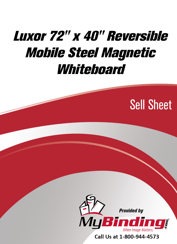# Luxor 72" x 40" Reversible [Mobile Steel Magnetic](https://www.mybinding.com/luxor-reversible-magnetic-whiteboard.html?sku=MB7240WW)  Whiteboard

# Sell Sheet



Call Us at 1-800-944-4573